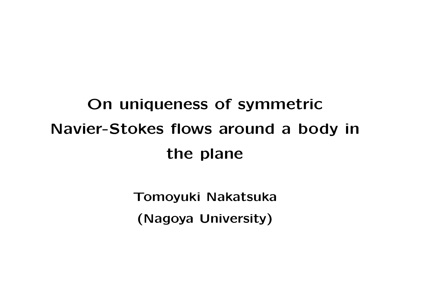## **On uniqueness of symmetric Navier-Stokes flows around a body in the plane**

**Tomoyuki Nakatsuka (Nagoya University)**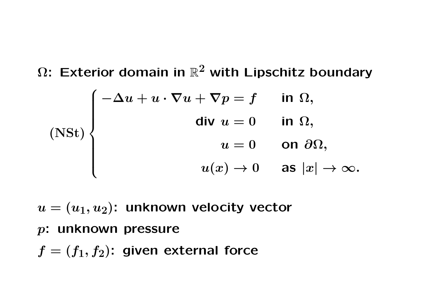**Ω: Exterior domain in** R **2 with Lipschitz boundary (NSt)**  $\sqrt{ }$  $\begin{array}{c} \end{array}$  $\begin{array}{c} \hline \end{array}$ *−***∆***u* **+** *u · ∇u* **+** *∇p* **=** *f* **in Ω***,*  $d$ **iv**  $u = 0$  **in**  $\Omega$ *,*  $u = 0$  on  $\partial\Omega$ ,  $u(x) \to 0$  as  $|x| \to \infty$ .

 $u = (u_1, u_2)$ : unknown velocity vector

*p***: unknown pressure**

 $f = (f_1, f_2)$ : given external force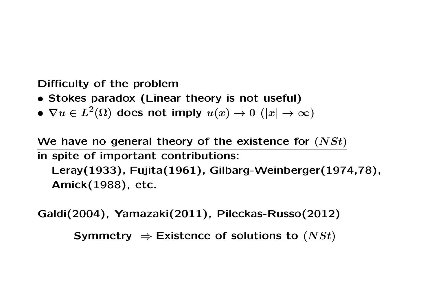**Difficulty of the problem**

- *•* **Stokes paradox (Linear theory is not useful)**
- $\bullet$   $\nabla u \in L^2(\Omega)$  does not imply  $u(x) \to 0 \,\,(|x| \to \infty)$

**We have no general theory of the existence for (***NSt***) in spite of important contributions: Leray(1933), Fujita(1961), Gilbarg-Weinberger(1974,78), Amick(1988), etc.**

**Galdi(2004), Yamazaki(2011), Pileckas-Russo(2012)**

**Symmetry**  $\Rightarrow$  **Existence of solutions to**  $(NSt)$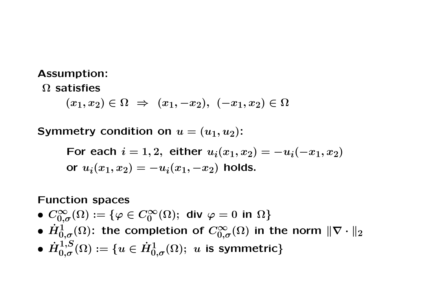## **Assumption:**

**Ω satisfies**

 $(x_1, x_2) \in \Omega \Rightarrow (x_1, -x_2), (-x_1, x_2) \in \Omega$ 

**Symmetry condition on**  $u = (u_1, u_2)$ **:** 

For each  $i = 1, 2$ , either  $u_i(x_1, x_2) = -u_i(-x_1, x_2)$  $\mathbf{u}_i(x_1, x_2) = -u_i(x_1, -x_2)$  holds.

## **Function spaces**

- $\bullet$   $C_{0,\sigma}^{\infty}(\Omega) := \{\varphi \in C_{0}^{\infty}(\Omega); \text{ div }\varphi = 0 \text{ in } \Omega\}$
- $\bullet$   $\dot{H}_{0,\sigma}^{1}(\Omega)$ : the completion of  $C_{0,\sigma}^{\infty}(\Omega)$  in the norm  $\|\nabla \cdot\|_2$
- $\bullet$   $\dot{H}_{0,\sigma}^{1,S}(\Omega):=\{u\in \dot{H}_{0,\sigma}^{1}(\Omega);\ u\ \text{is symmetric}\}$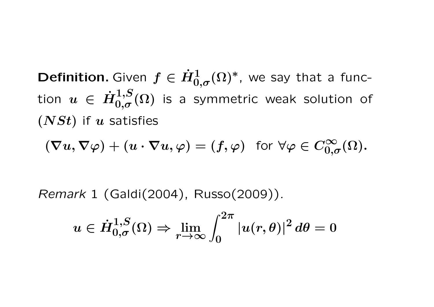**Definition.** Given  $f \in \dot{H}_{0,\sigma}^1(\Omega)^*$ , we say that a func- $\text{tion} \;\; u \;\in\; \dot{H}_{0,\sigma}^{1,S}$  $\int_{0,\sigma}^{1,\infty}(\Omega)$  is a symmetric weak solution of **(***NSt***)** if *u* satisfies

$$
(\nabla u,\nabla \varphi) + (u\cdot \nabla u, \varphi) = (f,\varphi) \text{ for } \forall \varphi \in C_{0,\sigma}^{\infty}(\Omega).
$$

*Remark* 1 (Galdi(2004), Russo(2009))*.*

$$
u\in \dot{H}_{0,\sigma}^{1,S}(\Omega)\Rightarrow \lim_{r\to\infty}\int_0^{2\pi}|u(r,\theta)|^2\,d\theta=0
$$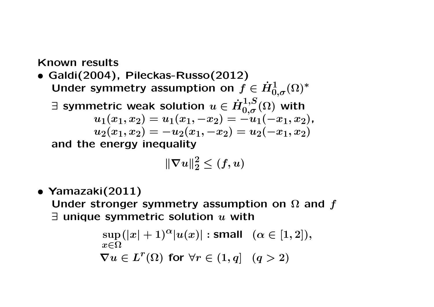**Known results**

*•* **Galdi(2004), Pileckas-Russo(2012)** Under symmetry assumption on  $f \in \dot{H}_{0,\sigma}^1(\Omega)^*$ 

*∃* **symmetric weak solution** *u ∈ H***˙ 1***,S* **<sup>0</sup>***,σ* **(Ω) with**

$$
u_1(x_1,x_2)=u_1(x_1,-x_2)=-u_1(-x_1,x_2),\\u_2(x_1,x_2)=-u_2(x_1,-x_2)=u_2(-x_1,x_2)
$$

**and the energy inequality**

$$
\|\nabla u\|_2^2 \le (f,u)
$$

*•* **Yamazaki(2011)**

**Under stronger symmetry assumption on Ω and** *f ∃* **unique symmetric solution** *u* **with**

$$
\sup_{x \in \Omega} (|x| + 1)^{\alpha} |u(x)| : \text{small} \quad (\alpha \in [1, 2]),
$$
  

$$
\nabla u \in L^r(\Omega) \text{ for } \forall r \in (1, q] \quad (q > 2)
$$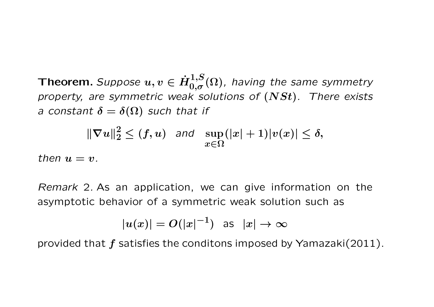$\bm{\mathsf{T}}$  **heorem.** Suppose  $u, v \in \dot{H}_{0,\sigma}^{1,S}(\Omega)$ , having the same symmetry *property, are symmetric weak solutions of* **(***NSt***)***. There exists a* constant  $\delta = \delta(\Omega)$  such that if

$$
\|\nabla u\|_2^2 \le (f,u) \quad \text{and} \quad \sup_{x \in \Omega} (|x|+1)|v(x)| \le \delta,
$$

*then*  $u = v$ .

*Remark* 2*.* As an application, we can give information on the asymptotic behavior of a symmetric weak solution such as

$$
|u(x)| = O(|x|^{-1}) \text{ as } |x| \to \infty
$$

provided that *f* satisfies the conditons imposed by Yamazaki(2011).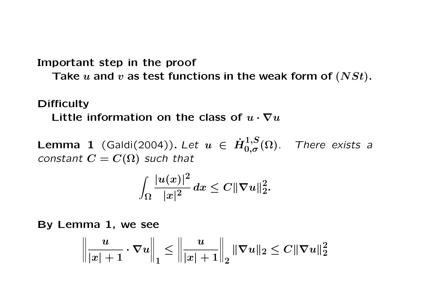**Important step in the proof**

**Take** *u* **and** *v* **as test functions in the weak form of (***NSt***).**

## **Difficulty**

Little information on the class of  $u \cdot \nabla u$ 

**Lemma 1** (Galdi(2004)). Let  $u \in \dot{H}_{0,\sigma}^{1,S}(\Omega)$ *. There exists a constant*  $C = C(\Omega)$  *such that* 

$$
\int_{\Omega}\frac{|u(x)|^2}{|x|^2}\,dx\leq C\|\nabla u\|_2^2.
$$

**By Lemma 1, we see**

$$
\left\|\frac{u}{|x|+1}\cdot\nabla u\right\|_1\le \left\|\frac{u}{|x|+1}\right\|_2\|\nabla u\|_2\le C\|\nabla u\|_2^2
$$